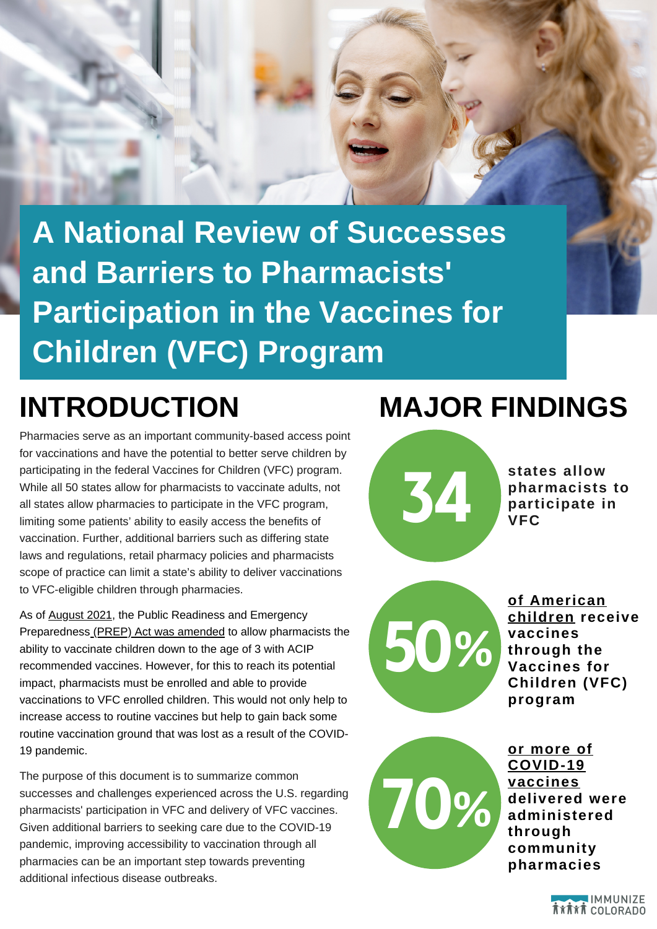

**A National Review of Successes and Barriers to Pharmacists' Participation in the Vaccines for Children (VFC) Program**

Pharmacies serve as an important community-based access point for vaccinations and have the potential to better serve children by participating in the federal Vaccines for Children (VFC) program. While all 50 states allow for pharmacists to vaccinate adults, not all states allow pharmacies to participate in the VFC program, limiting some patients' ability to easily access the benefits of vaccination. Further, additional barriers such as differing state laws and regulations, retail pharmacy policies and pharmacists scope of practice can limit a state's ability to deliver vaccinations to VFC-eligible children through pharmacies.

As of **[August](https://docs.google.com/document/d/1lkmZELHPav3Aj98qWZ4x1ghZ-Al8-j812W_9HUIQX44/edit) 2021**, the Public Readiness and Emergency Preparedness (PREP) Act was [amended](https://www.cdc.gov/vaccines/programs/vfc/providers/questions/prep-act-impact.html) to allow pharmacists the ability to vaccinate children down to the age of 3 with ACIP recommended vaccines. However, for this to reach its potential impact, pharmacists must be enrolled and able to provide vaccinations to VFC enrolled children. This would not only help to increase access to routine vaccines but help to gain back some routine vaccination ground that was lost as a result of the COVID-19 pandemic.

The purpose of this document is to summarize common successes and challenges experienced across the U.S. regarding pharmacists' participation in VFC and delivery of VFC vaccines. Given additional barriers to seeking care due to the COVID-19 pandemic, improving accessibility to vaccination through all pharmacies can be an important step towards preventing additional infectious disease outbreaks.

## **INTRODUCTION MAJOR FINDINGS**



**states allow pharmacists to pharmacists the pharmacists the participate** in



**of [American](https://www.digitaljournal.com/pr/the-navigators-recommend-enhancing-and-expanding-publicly-funded-vaccine-programs) children receive vaccines through the Vaccines for Children (VFC) program**



**or more of [COVID-19](https://www.digitaljournal.com/pr/the-navigators-recommend-enhancing-and-expanding-publicly-funded-vaccine-programs) vaccines delivered were administered through community pharmacies**